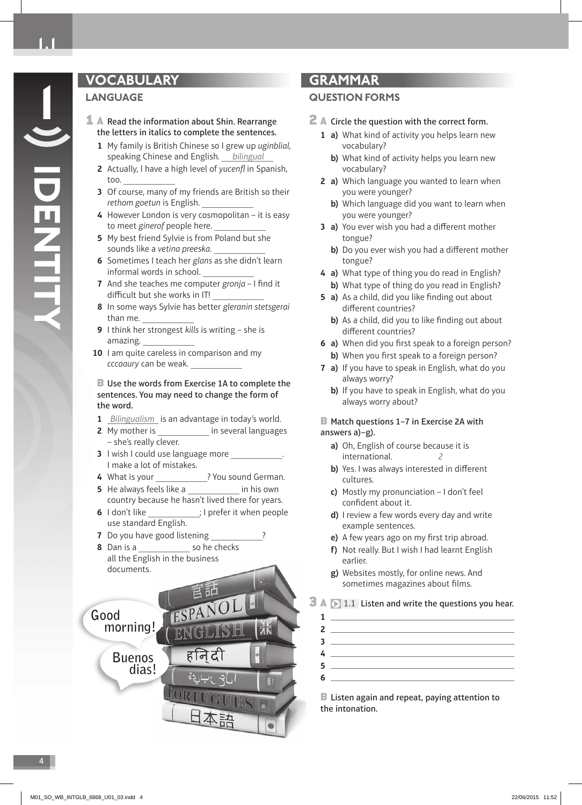**IDENTITY**

# **VOCABULARY**

# **LANGUAGE**

- **1** A Read the information about Shin. Rearrange the letters in italics to complete the sentences.
	- **1** My family is British Chinese so I grew up uginblial, speaking Chinese and English. bilingual
	- **2** Actually, I have a high level of yucenfl in Spanish, too.
	- **3** Of course, many of my friends are British so their rethom goetun is English.
	- **4** However London is very cosmopolitan it is easy to meet ginerof people here.
	- **5** My best friend Sylvie is from Poland but she sounds like a vetina preeska.
	- **6** Sometimes I teach her glans as she didn't learn informal words in school.
	- **7** And she teaches me computer gronja I find it difficult but she works in IT!
	- **8** In some ways Sylvie has better gleranin stetsgerai than me.
	- **9** I think her strongest kills is writing she is amazing.
	- 10 I am quite careless in comparison and my cccaaury can be weak.

### **B** Use the words from Exercise 1A to complete the sentences. You may need to change the form of the word.

- **1** Bilingualism is an advantage in today's world.
- **2** My mother is **in several languages** – she's really clever.
- **3** I wish I could use language more I make a lot of mistakes.
- 4 What is your **?** You sound German.
- **5** He always feels like a **in his own** country because he hasn't lived there for years.
- **6** I don't like  $\qquad \qquad$  ; I prefer it when people use standard English.
- **7** Do you have good listening
- **8** Dan is a so he checks all the English in the business documents.



# **GRAMMAR**

## **QUESTION FORMS**

- $\mathbb Z$   $\mathbb A$  Circle the question with the correct form.
	- **1 a)** What kind of activity you helps learn new vocabulary?
		- **b)** What kind of activity helps you learn new vocabulary?
	- **2 a)** Which language you wanted to learn when you were younger?
		- **b)** Which language did you want to learn when you were younger?
	- **3 a)** You ever wish you had a different mother tongue?
		- **b)** Do you ever wish you had a different mother tongue?
	- **4 a)** What type of thing you do read in English?  **b)** What type of thing do you read in English?
	- **5 a)** As a child, did you like finding out about different countries?
		- **b)** As a child, did you to like finding out about different countries?
	- **6 a)** When did you first speak to a foreign person? **b)** When you first speak to a foreign person?
	- **7 a)** If you have to speak in English, what do you always worry?
		- **b)** If you have to speak in English, what do you always worry about?

### ■ Match questions 1-7 in Exercise 2A with answers a)–g).

- **a)** Oh, English of course because it is international. 2
- **b)** Yes. I was always interested in different cultures.
- **c)** Mostly my pronunciation I don't feel confident about it.
- **d)** I review a few words every day and write example sentences.
- **e)** A few years ago on my first trip abroad.
- **f)** Not really. But I wish I had learnt English earlier.
- **g)** Websites mostly, for online news. And sometimes magazines about films.

# **3 A**  $\Box$  1.1 Listen and write the questions you hear.

| <u> 1989 - John Stein, Amerikaansk politiker (</u> |
|----------------------------------------------------|
|                                                    |
|                                                    |
|                                                    |
|                                                    |

**B** Listen again and repeat, paying attention to the intonation.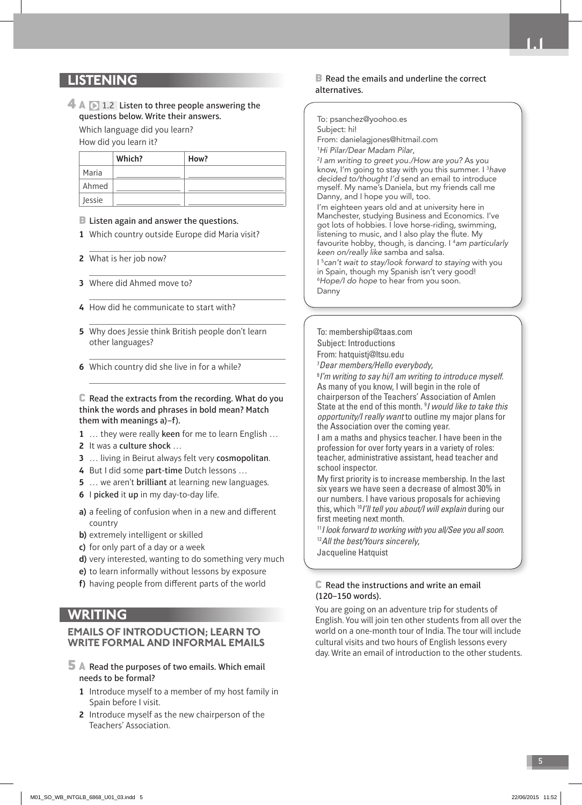# **LISTENING**

# $\overline{4}$  A  $\overline{1}$  1.2 Listen to three people answering the questions below. Write their answers.

 Which language did you learn? How did you learn it?

**Which? How?** Maria Ahmed Jessie

### **B** Listen again and answer the questions.

- **1** Which country outside Europe did Maria visit?
- **2** What is her job now?
- **3** Where did Ahmed move to?
- **4** How did he communicate to start with?
- **5** Why does Jessie think British people don't learn other languages?
- **6** Which country did she live in for a while?

C Read the extracts from the recording. What do you think the words and phrases in bold mean? Match them with meanings a)–f).

**1** … they were really keen for me to learn English …

- **2** It was a culture shock …
- **3** ... living in Beirut always felt very cosmopolitan.
- **4** But I did some part-time Dutch lessons …
- **5** … we aren't brilliant at learning new languages.
- **6** I picked it up in my day-to-day life.
- **a**) a feeling of confusion when in a new and different country
- **b)** extremely intelligent or skilled
- **c)** for only part of a day or a week
- **d)** very interested, wanting to do something very much
- **e)** to learn informally without lessons by exposure
- f) having people from different parts of the world

# **WRITING**

### **EMAILS OF INTRODUCTION; LEARN TO WRITE FORMAL AND INFORMAL EMAILS**

- 5 A Read the purposes of two emails. Which email needs to be formal?
	- **1** Introduce myself to a member of my host family in Spain before I visit.
	- **2** Introduce myself as the new chairperson of the Teachers' Association.

#### B Read the emails and underline the correct alternatives.

**1.1**

To: psanchez@yoohoo.es

Subject: hi!

From: danielagjones@hitmail.com

1 Hi Pilar/Dear Madam Pilar,

2 I am writing to greet you./How are you? As you know, I'm going to stay with you this summer. I <sup>3</sup>have decided to/thought I'd send an email to introduce myself. My name's Daniela, but my friends call me Danny, and I hope you will, too.

I'm eighteen years old and at university here in Manchester, studying Business and Economics. I've got lots of hobbies. I love horse-riding, swimming, listening to music, and I also play the flute. My favourite hobby, though, is dancing. I <sup>4</sup>am particularly keen on/really like samba and salsa.

I 5 can't wait to stay/look forward to staying with you in Spain, though my Spanish isn't very good! 6 Hope/I do hope to hear from you soon.

Danny

To: membership@taas.com Subject: Introductions From: hatquistj@ltsu.edu 7 *Dear members/Hello everybody*, 8 *I'm writing to say hi/I am writing to introduce myself*. As many of you know, I will begin in the role of chairperson of the Teachers' Association of Amlen State at the end of this month. 9 *I would like to take this opportunity/I really want* to outline my major plans for

the Association over the coming year. I am a maths and physics teacher. I have been in the profession for over forty years in a variety of roles: teacher, administrative assistant, head teacher and school inspector.

My first priority is to increase membership. In the last six years we have seen a decrease of almost 30% in our numbers. I have various proposals for achieving this, which 10*I'll tell you about/I will explain* during our first meeting next month.

<sup>11</sup>*I look forward to working with you all/See you all soon*. <sup>12</sup>*All the best/Yours sincerely*,

Jacqueline Hatquist

#### $\mathbb C$  Read the instructions and write an email (120–150 words).

 You are going on an adventure trip for students of English. You will join ten other students from all over the world on a one-month tour of India. The tour will include cultural visits and two hours of English lessons every day. Write an email of introduction to the other students.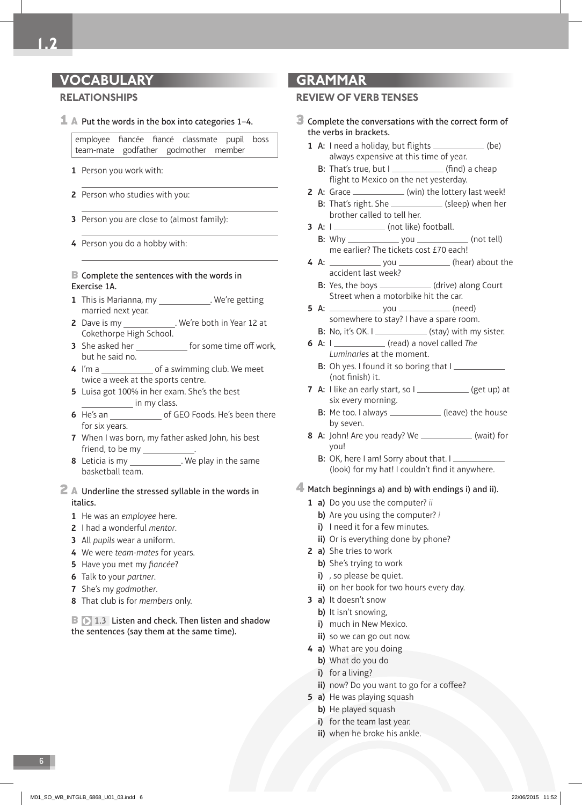# **VOCABULARY**

## **RELATIONSHIPS**

 $\perp$  A Put the words in the box into categories 1-4.

employee fiancée fiancé classmate pupil boss team-mate godfather godmother member

- **1** Person you work with:
- **2** Person who studies with you:
- **3** Person you are close to (almost family):
- **4** Person you do a hobby with:

### **B** Complete the sentences with the words in Exercise 1A.

- **1** This is Marianna, my . We're getting married next year.
- **2** Dave is my \_\_\_\_\_\_\_\_\_\_\_\_\_. We're both in Year 12 at Cokethorpe High School.
- **3** She asked her for some time off work, but he said no.
- **4** I'm a of a swimming club. We meet twice a week at the sports centre.
- **5** Luisa got 100% in her exam. She's the best in my class.
- **6** He's an of GEO Foods. He's been there for six years.
- **7** When I was born, my father asked John, his best friend, to be my \_\_\_\_\_\_\_\_\_\_
- **8** Leticia is my \_\_\_\_\_\_\_\_\_\_\_\_\_. We play in the same basketball team.

### 2 A Underline the stressed syllable in the words in italics.

- **1** He was an employee here.
- **2** I had a wonderful *mentor*.
- **3** All pupils wear a uniform.
- **4** We were team-mates for years.
- **5** Have you met my fiancée?
- **6** Talk to your partner.
- **7** She's my godmother.
- **8** That club is for members only.

**B**  $\triangleright$  1.3 Listen and check. Then listen and shadow the sentences (say them at the same time).

# **GRAMMAR**

## **REVIEW OF VERB TENSES**

- 3 Complete the conversations with the correct form of the verbs in brackets.
	- **1** A: I need a holiday, but flights  $\qquad$  (be) always expensive at this time of year.
		- **B:** That's true, but  $I$  \_\_\_\_\_\_\_\_\_\_\_\_\_\_\_\_ (find) a cheap flight to Mexico on the net yesterday.
	- **2** A: Grace \_\_\_\_\_\_\_\_\_\_\_\_\_ (win) the lottery last week! B: That's right. She \_\_\_\_\_\_\_\_\_\_\_\_\_ (sleep) when her brother called to tell her.
	- **3** A: I (not like) football.  $B: Why ________ you ________ (not tell)$
	- me earlier? The tickets cost £70 each! **4** A: you (hear) about the accident last week?
		- B: Yes, the boys \_\_\_\_\_\_\_\_\_\_\_\_\_ (drive) along Court Street when a motorbike hit the car.
	- **5** A:  $\sqrt{6}$  you  $\sqrt{6}$  (need) somewhere to stay? I have a spare room.
		- B: No, it's OK. I $\sqrt{ }$  (stay) with my sister.
	- **6** A: I (read) a novel called The Luminaries at the moment.
		- B: Oh yes. I found it so boring that I (not finish) it.
	- **7** A: I like an early start, so I \_\_\_\_\_\_\_\_\_\_\_\_ (get up) at six every morning.
		- B: Me too. I always \_\_\_\_\_\_\_\_\_\_\_\_\_\_\_ (leave) the house by seven.
	- **8** A: John! Are you ready? We \_\_\_\_\_\_\_\_\_\_\_\_\_ (wait) for you!
		- B: OK, here I am! Sorry about that. I (look) for my hat! I couldn't find it anywhere.

## 4 Match beginnings a) and b) with endings i) and ii).

- **1 a)** Do you use the computer? ii
	- **b)** Are you using the computer? i
	- **i)** I need it for a few minutes.
	- **ii)** Or is everything done by phone?
- **2 a)** She tries to work
	- **b)** She's trying to work
	- **i)**, so please be quiet.
	- **ii)** on her book for two hours every day.
- **3 a)** It doesn't snow
	- **b)** It isn't snowing,
	- **i)** much in New Mexico.
	- **ii)** so we can go out now.
- **4 a)** What are you doing
	- **b)** What do you do
	- **i)** for a living?
	- ii) now? Do you want to go for a coffee?
- **5 a)** He was playing squash
	- **b)** He played squash
	- **i)** for the team last year.
	- **ii)** when he broke his ankle.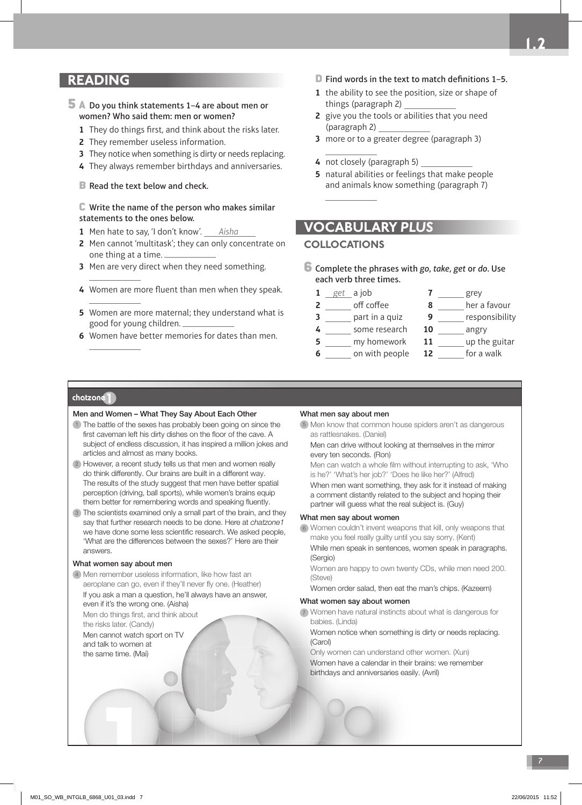# **READING**

### 5 A Do you think statements 1–4 are about men or women? Who said them: men or women?

- **1** They do things first, and think about the risks later.
- **2** They remember useless information.
- **3** They notice when something is dirty or needs replacing.
- **4** They always remember birthdays and anniversaries.
- B Read the text below and check.

#### $\mathbb C$  Write the name of the person who makes similar statements to the ones below.

- **1** Men hate to say, 'I don't know'. Aisha
- **2** Men cannot 'multitask'; they can only concentrate on one thing at a time.
- **3** Men are very direct when they need something.
- 4 Women are more fluent than men when they speak.
- **5** Women are more maternal; they understand what is good for young children.
- **6** Women have better memories for dates than men.
- $\Box$  Find words in the text to match definitions 1–5.
- **1** the ability to see the position, size or shape of things (paragraph 2)
- **2** give you the tools or abilities that you need (paragraph 2)
- **3** more or to a greater degree (paragraph 3)
- **4** not closely (paragraph 5)
- **5** natural abilities or feelings that make people and animals know something (paragraph 7)

# **VOCABULARY** *PLUS*

## **COLLOCATIONS**

- $6$  Complete the phrases with go, take, get or do. Use each verb three times.
	- **1** get a job **2** \_\_\_\_\_\_ off coffee  **3** part in a quiz  **4** some research **5** \_\_\_\_\_ my homework **6** on with people **7** grey **8** \_\_\_\_\_ her a favour **9** *<u>exercises</u>* responsibility **10** angry 11 \_\_\_\_\_\_ up the guitar  **12** for a walk

#### chatzone<sup>1</sup>

#### Men and Women – What They Say About Each Other

- 1) The battle of the sexes has probably been going on since the first caveman left his dirty dishes on the floor of the cave. A subject of endless discussion, it has inspired a million jokes and articles and almost as many books.
- However, a recent study tells us that men and women really 2 do think differently. Our brains are built in a different way. The results of the study suggest that men have better spatial perception (driving, ball sports), while women's brains equip them better for remembering words and speaking fluently.
- The scientists examined only a small part of the brain, and they 3 say that further research needs to be done. Here at chatzone1 we have done some less scientific research. We asked people, 'What are the differences between the sexes?' Here are their answers.

#### What women say about men

4) Men remember useless information, like how fast an aeroplane can go, even if they'll never fly one. (Heather) If you ask a man a question, he'll always have an answer, even if it's the wrong one. (Aisha)

Men do things first, and think about the risks later. (Candy)

 Men cannot watch sport on TV and talk to women at the same time. (Mai)

#### What men say about men

Men know that common house spiders aren't as dangerous 5 as rattlesnakes. (Daniel)

Men can drive without looking at themselves in the mirror every ten seconds. (Ron)

Men can watch a whole film without interrupting to ask, 'Who is he?' 'What's her job?' 'Does he like her?' (Alfred)

When men want something, they ask for it instead of making a comment distantly related to the subject and hoping their partner will guess what the real subject is. (Guy)

#### What men say about women

Women couldn't invent weapons that kill, only weapons that 6 make you feel really guilty until you say sorry. (Kent)

While men speak in sentences, women speak in paragraphs. (Sergio)

 Women are happy to own twenty CDs, while men need 200. (Steve)

Women order salad, then eat the man's chips. (Kazeem)

#### What women say about women

 Women have natural instincts about what is dangerous for 7 babies. (Linda)

 Women notice when something is dirty or needs replacing. (Carol)

 Only women can understand other women. (Xun) Women have a calendar in their brains: we remember birthdays and anniversaries easily. (Avril)